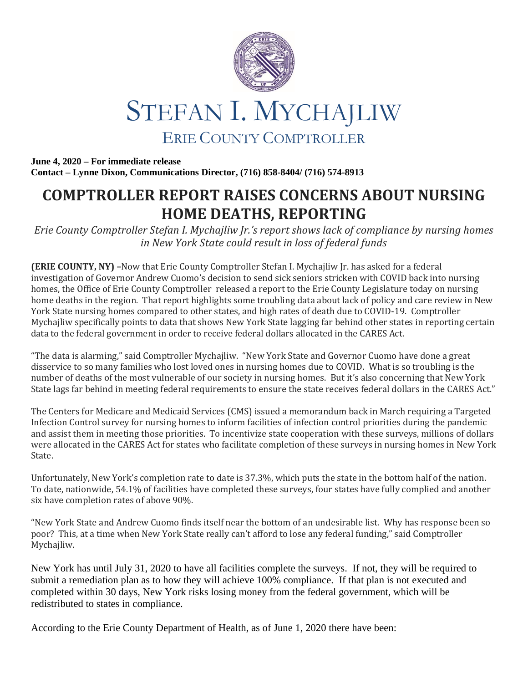



**June 4, 2020 – For immediate release Contact – Lynne Dixon, Communications Director, (716) 858-8404/ (716) 574-8913**

## **COMPTROLLER REPORT RAISES CONCERNS ABOUT NURSING HOME DEATHS, REPORTING**

*Erie County Comptroller Stefan I. Mychajliw Jr.'s report shows lack of compliance by nursing homes in New York State could result in loss of federal funds* 

**(ERIE COUNTY, NY) –**Now that Erie County Comptroller Stefan I. Mychajliw Jr. has asked for a federal investigation of Governor Andrew Cuomo's decision to send sick seniors stricken with COVID back into nursing homes, the Office of Erie County Comptroller released a report to the Erie County Legislature today on nursing home deaths in the region. That report highlights some troubling data about lack of policy and care review in New York State nursing homes compared to other states, and high rates of death due to COVID-19. Comptroller Mychajliw specifically points to data that shows New York State lagging far behind other states in reporting certain data to the federal government in order to receive federal dollars allocated in the CARES Act.

"The data is alarming," said Comptroller Mychajliw. "New York State and Governor Cuomo have done a great disservice to so many families who lost loved ones in nursing homes due to COVID. What is so troubling is the number of deaths of the most vulnerable of our society in nursing homes. But it's also concerning that New York State lags far behind in meeting federal requirements to ensure the state receives federal dollars in the CARES Act."

The Centers for Medicare and Medicaid Services (CMS) issued a memorandum back in March requiring a Targeted Infection Control survey for nursing homes to inform facilities of infection control priorities during the pandemic and assist them in meeting those priorities. To incentivize state cooperation with these surveys, millions of dollars were allocated in the CARES Act for states who facilitate completion of these surveys in nursing homes in New York State.

Unfortunately, New York's completion rate to date is 37.3%, which puts the state in the bottom half of the nation. To date, nationwide, 54.1% of facilities have completed these surveys, four states have fully complied and another six have completion rates of above 90%.

"New York State and Andrew Cuomo finds itself near the bottom of an undesirable list. Why has response been so poor? This, at a time when New York State really can't afford to lose any federal funding," said Comptroller Mychajliw.

New York has until July 31, 2020 to have all facilities complete the surveys. If not, they will be required to submit a remediation plan as to how they will achieve 100% compliance. If that plan is not executed and completed within 30 days, New York risks losing money from the federal government, which will be redistributed to states in compliance.

According to the Erie County Department of Health, as of June 1, 2020 there have been: